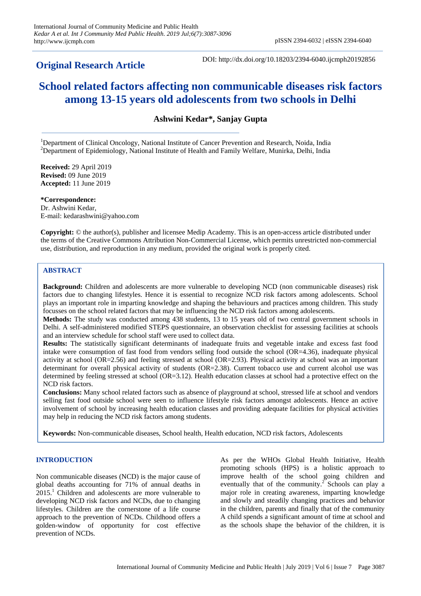# **Original Research Article**

DOI: http://dx.doi.org/10.18203/2394-6040.ijcmph20192856

# **School related factors affecting non communicable diseases risk factors among 13-15 years old adolescents from two schools in Delhi**

**Ashwini Kedar\*, Sanjay Gupta**

<sup>1</sup>Department of Clinical Oncology, National Institute of Cancer Prevention and Research, Noida, India <sup>2</sup>Department of Epidemiology, National Institute of Health and Family Welfare, Munirka, Delhi, India

**Received:** 29 April 2019 **Revised:** 09 June 2019 **Accepted:** 11 June 2019

**\*Correspondence:** Dr. Ashwini Kedar, E-mail: kedarashwini@yahoo.com

**Copyright:** © the author(s), publisher and licensee Medip Academy. This is an open-access article distributed under the terms of the Creative Commons Attribution Non-Commercial License, which permits unrestricted non-commercial use, distribution, and reproduction in any medium, provided the original work is properly cited.

# **ABSTRACT**

**Background:** Children and adolescents are more vulnerable to developing NCD (non communicable diseases) risk factors due to changing lifestyles. Hence it is essential to recognize NCD risk factors among adolescents. School plays an important role in imparting knowledge and shaping the behaviours and practices among children. This study focusses on the school related factors that may be influencing the NCD risk factors among adolescents.

**Methods:** The study was conducted among 438 students, 13 to 15 years old of two central government schools in Delhi. A self-administered modified STEPS questionnaire, an observation checklist for assessing facilities at schools and an interview schedule for school staff were used to collect data.

**Results:** The statistically significant determinants of inadequate fruits and vegetable intake and excess fast food intake were consumption of fast food from vendors selling food outside the school (OR=4.36), inadequate physical activity at school (OR=2.56) and feeling stressed at school (OR=2.93). Physical activity at school was an important determinant for overall physical activity of students (OR=2.38). Current tobacco use and current alcohol use was determined by feeling stressed at school (OR=3.12). Health education classes at school had a protective effect on the NCD risk factors.

**Conclusions:** Many school related factors such as absence of playground at school, stressed life at school and vendors selling fast food outside school were seen to influence lifestyle risk factors amongst adolescents. Hence an active involvement of school by increasing health education classes and providing adequate facilities for physical activities may help in reducing the NCD risk factors among students.

**Keywords:** Non-communicable diseases, School health, Health education, NCD risk factors, Adolescents

# **INTRODUCTION**

Non communicable diseases (NCD) is the major cause of global deaths accounting for 71% of annual deaths in  $2015<sup>1</sup>$  Children and adolescents are more vulnerable to developing NCD risk factors and NCDs, due to changing lifestyles. Children are the cornerstone of a life course approach to the prevention of NCDs. Childhood offers a golden-window of opportunity for cost effective prevention of NCDs.

As per the WHOs Global Health Initiative, Health promoting schools (HPS) is a holistic approach to improve health of the school going children and eventually that of the community.<sup>2</sup> Schools can play a major role in creating awareness, imparting knowledge and slowly and steadily changing practices and behavior in the children, parents and finally that of the community A child spends a significant amount of time at school and as the schools shape the behavior of the children, it is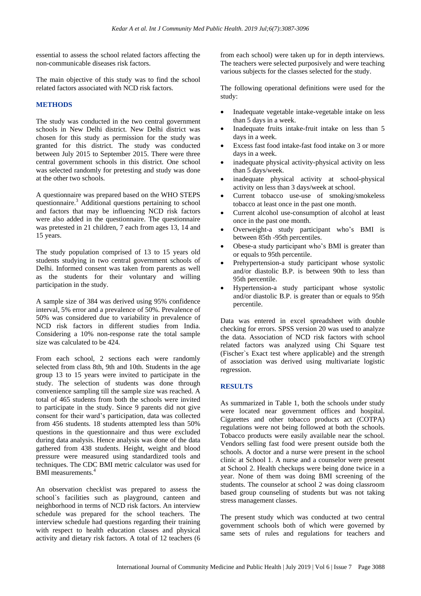essential to assess the school related factors affecting the non-communicable diseases risk factors.

The main objective of this study was to find the school related factors associated with NCD risk factors.

# **METHODS**

The study was conducted in the two central government schools in New Delhi district. New Delhi district was chosen for this study as permission for the study was granted for this district. The study was conducted between July 2015 to September 2015. There were three central government schools in this district. One school was selected randomly for pretesting and study was done at the other two schools.

A questionnaire was prepared based on the WHO STEPS questionnaire.<sup>3</sup> Additional questions pertaining to school and factors that may be influencing NCD risk factors were also added in the questionnaire. The questionnaire was pretested in 21 children, 7 each from ages 13, 14 and 15 years.

The study population comprised of 13 to 15 years old students studying in two central government schools of Delhi. Informed consent was taken from parents as well as the students for their voluntary and willing participation in the study.

A sample size of 384 was derived using 95% confidence interval, 5% error and a prevalence of 50%. Prevalence of 50% was considered due to variability in prevalence of NCD risk factors in different studies from India. Considering a 10% non-response rate the total sample size was calculated to be 424.

From each school, 2 sections each were randomly selected from class 8th, 9th and 10th. Students in the age group 13 to 15 years were invited to participate in the study. The selection of students was done through convenience sampling till the sample size was reached. A total of 465 students from both the schools were invited to participate in the study. Since 9 parents did not give consent for their ward's participation, data was collected from 456 students. 18 students attempted less than 50% questions in the questionnaire and thus were excluded during data analysis. Hence analysis was done of the data gathered from 438 students. Height, weight and blood pressure were measured using standardized tools and techniques. The CDC BMI metric calculator was used for BMI measurements.<sup>4</sup>

An observation checklist was prepared to assess the school`s facilities such as playground, canteen and neighborhood in terms of NCD risk factors. An interview schedule was prepared for the school teachers. The interview schedule had questions regarding their training with respect to health education classes and physical activity and dietary risk factors. A total of 12 teachers (6 from each school) were taken up for in depth interviews. The teachers were selected purposively and were teaching various subjects for the classes selected for the study.

The following operational definitions were used for the study:

- Inadequate vegetable intake-vegetable intake on less than 5 days in a week.
- Inadequate fruits intake-fruit intake on less than 5 days in a week.
- Excess fast food intake-fast food intake on 3 or more days in a week.
- inadequate physical activity-physical activity on less than 5 days/week.
- inadequate physical activity at school-physical activity on less than 3 days/week at school.
- Current tobacco use-use of smoking/smokeless tobacco at least once in the past one month.
- Current alcohol use-consumption of alcohol at least once in the past one month.
- Overweight-a study participant who's BMI is between 85th -95th percentiles.
- Obese-a study participant who's BMI is greater than or equals to 95th percentile.
- Prehypertension-a study participant whose systolic and/or diastolic B.P. is between 90th to less than 95th percentile.
- Hypertension-a study participant whose systolic and/or diastolic B.P. is greater than or equals to 95th percentile.

Data was entered in excel spreadsheet with double checking for errors. SPSS version 20 was used to analyze the data. Association of NCD risk factors with school related factors was analyzed using Chi Square test (Fischer`s Exact test where applicable) and the strength of association was derived using multivariate logistic regression.

# **RESULTS**

As summarized in Table 1, both the schools under study were located near government offices and hospital. Cigarettes and other tobacco products act (COTPA) regulations were not being followed at both the schools. Tobacco products were easily available near the school. Vendors selling fast food were present outside both the schools. A doctor and a nurse were present in the school clinic at School 1. A nurse and a counselor were present at School 2. Health checkups were being done twice in a year. None of them was doing BMI screening of the students. The counselor at school 2 was doing classroom based group counseling of students but was not taking stress management classes.

The present study which was conducted at two central government schools both of which were governed by same sets of rules and regulations for teachers and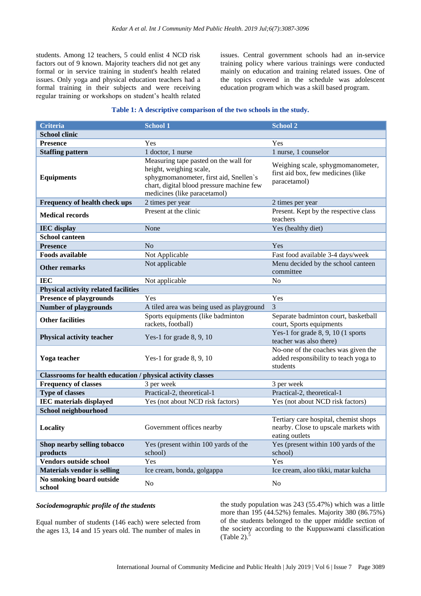students. Among 12 teachers, 5 could enlist 4 NCD risk factors out of 9 known. Majority teachers did not get any formal or in service training in student's health related issues. Only yoga and physical education teachers had a formal training in their subjects and were receiving regular training or workshops on student's health related

issues. Central government schools had an in-service training policy where various trainings were conducted mainly on education and training related issues. One of the topics covered in the schedule was adolescent education program which was a skill based program.

#### **Table 1: A descriptive comparison of the two schools in the study.**

| Criteria                                                    | School 1                                                                                                                                                                                | School 2                                                                                         |  |
|-------------------------------------------------------------|-----------------------------------------------------------------------------------------------------------------------------------------------------------------------------------------|--------------------------------------------------------------------------------------------------|--|
| <b>School clinic</b>                                        |                                                                                                                                                                                         |                                                                                                  |  |
| <b>Presence</b>                                             | Yes                                                                                                                                                                                     | Yes                                                                                              |  |
| <b>Staffing pattern</b>                                     | 1 doctor, 1 nurse                                                                                                                                                                       | 1 nurse, 1 counselor                                                                             |  |
| <b>Equipments</b>                                           | Measuring tape pasted on the wall for<br>height, weighing scale,<br>sphygmomanometer, first aid, Snellen's<br>chart, digital blood pressure machine few<br>medicines (like paracetamol) | Weighing scale, sphygmomanometer,<br>first aid box, few medicines (like<br>paracetamol)          |  |
| <b>Frequency of health check ups</b>                        | 2 times per year                                                                                                                                                                        | 2 times per year                                                                                 |  |
| <b>Medical records</b>                                      | Present at the clinic                                                                                                                                                                   | Present. Kept by the respective class<br>teachers                                                |  |
| <b>IEC</b> display                                          | None                                                                                                                                                                                    | Yes (healthy diet)                                                                               |  |
| <b>School canteen</b>                                       |                                                                                                                                                                                         |                                                                                                  |  |
| <b>Presence</b>                                             | No                                                                                                                                                                                      | Yes                                                                                              |  |
| <b>Foods available</b>                                      | Not Applicable                                                                                                                                                                          | Fast food available 3-4 days/week                                                                |  |
| <b>Other remarks</b>                                        | Not applicable                                                                                                                                                                          | Menu decided by the school canteen<br>committee                                                  |  |
| <b>IEC</b>                                                  | Not applicable                                                                                                                                                                          | No                                                                                               |  |
| <b>Physical activity related facilities</b>                 |                                                                                                                                                                                         |                                                                                                  |  |
| <b>Presence of playgrounds</b>                              | Yes                                                                                                                                                                                     | Yes                                                                                              |  |
| <b>Number of playgrounds</b>                                | A tiled area was being used as playground                                                                                                                                               | 3                                                                                                |  |
| <b>Other facilities</b>                                     | Sports equipments (like badminton<br>rackets, football)                                                                                                                                 | Separate badminton court, basketball<br>court, Sports equipments                                 |  |
| <b>Physical activity teacher</b>                            | Yes-1 for grade $8, 9, 10$                                                                                                                                                              | Yes-1 for grade $8, 9, 10$ (1 sports<br>teacher was also there)                                  |  |
| Yoga teacher                                                | Yes-1 for grade 8, 9, 10                                                                                                                                                                | No-one of the coaches was given the<br>added responsibility to teach yoga to<br>students         |  |
| Classrooms for health education / physical activity classes |                                                                                                                                                                                         |                                                                                                  |  |
| <b>Frequency of classes</b>                                 | 3 per week                                                                                                                                                                              | 3 per week                                                                                       |  |
| <b>Type of classes</b>                                      | Practical-2, theoretical-1                                                                                                                                                              | Practical-2, theoretical-1                                                                       |  |
| <b>IEC</b> materials displayed                              | Yes (not about NCD risk factors)                                                                                                                                                        | Yes (not about NCD risk factors)                                                                 |  |
| School neighbourhood                                        |                                                                                                                                                                                         |                                                                                                  |  |
| Locality                                                    | Government offices nearby                                                                                                                                                               | Tertiary care hospital, chemist shops<br>nearby. Close to upscale markets with<br>eating outlets |  |
| Shop nearby selling tobacco<br>products                     | Yes (present within 100 yards of the<br>school)                                                                                                                                         | Yes (present within 100 yards of the<br>school)                                                  |  |
| Vendors outside school                                      | Yes                                                                                                                                                                                     | Yes                                                                                              |  |
| <b>Materials vendor is selling</b>                          | Ice cream, bonda, golgappa                                                                                                                                                              | Ice cream, aloo tikki, matar kulcha                                                              |  |
| No smoking board outside<br>school                          | N <sub>0</sub>                                                                                                                                                                          | N <sub>0</sub>                                                                                   |  |

#### *Sociodemographic profile of the students*

Equal number of students (146 each) were selected from the ages 13, 14 and 15 years old. The number of males in the study population was 243 (55.47%) which was a little more than 195 (44.52%) females. Majority 380 (86.75%) of the students belonged to the upper middle section of the society according to the Kuppuswami classification  $(Table 2).$ <sup>5</sup>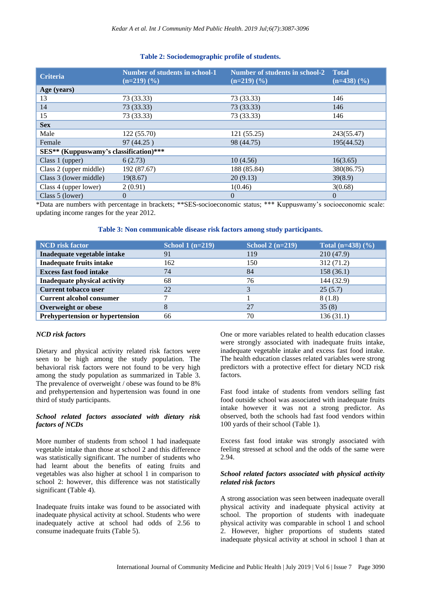| <b>Criteria</b>                        | Number of students in school-1<br>$(n=219)$ $(\frac{9}{6})$ | <b>Number of students in school-2 Total</b><br>$(n=219)$ $(\frac{9}{6})$ | $(n=438)$ $(\frac{6}{6})$ |
|----------------------------------------|-------------------------------------------------------------|--------------------------------------------------------------------------|---------------------------|
| Age (years)                            |                                                             |                                                                          |                           |
| 13                                     | 73 (33.33)                                                  | 73 (33.33)                                                               | 146                       |
| 14                                     | 73 (33.33)                                                  | 73 (33.33)                                                               | 146                       |
| 15                                     | 73 (33.33)                                                  | 73 (33.33)                                                               | 146                       |
| <b>Sex</b>                             |                                                             |                                                                          |                           |
| Male                                   | 122(55.70)                                                  | 121 (55.25)                                                              | 243(55.47)                |
| Female                                 | 97 (44.25)                                                  | 98 (44.75)                                                               | 195(44.52)                |
| SES** (Kuppuswamy's classification)*** |                                                             |                                                                          |                           |
| Class 1 (upper)                        | 6(2.73)                                                     | 10(4.56)                                                                 | 16(3.65)                  |
| Class 2 (upper middle)                 | 192 (87.67)                                                 | 188 (85.84)                                                              | 380(86.75)                |
| Class 3 (lower middle)                 | 19(8.67)                                                    | 20(9.13)                                                                 | 39(8.9)                   |
| Class 4 (upper lower)                  | 2(0.91)                                                     | 1(0.46)                                                                  | 3(0.68)                   |
| Class 5 (lower)                        | $\Omega$                                                    | $\overline{0}$                                                           | $\overline{0}$            |

# **Table 2: Sociodemographic profile of students.**

\*Data are numbers with percentage in brackets; \*\*SES-socioeconomic status; \*\*\* Kuppuswamy's socioeconomic scale: updating income ranges for the year 2012.

# **Table 3: Non communicable disease risk factors among study participants.**

| <b>NCD</b> risk factor                 | School $1(n=219)$ | School $2(n=219)$ | Total $(n=438)$ $(\% )$ |
|----------------------------------------|-------------------|-------------------|-------------------------|
| Inadequate vegetable intake            | 91                | 119               | 210(47.9)               |
| <b>Inadequate fruits intake</b>        | 162               | 150               | 312(71.2)               |
| <b>Excess fast food intake</b>         | 74                | 84                | 158 (36.1)              |
| Inadequate physical activity           | 68                | 76                | 144 (32.9)              |
| <b>Current tobacco user</b>            | 22                | っ                 | 25(5.7)                 |
| <b>Current alcohol consumer</b>        |                   |                   | 8(1.8)                  |
| Overweight or obese                    |                   | 27                | 35(8)                   |
| <b>Prehypertension or hypertension</b> | 66                | 70                | 136(31.1)               |

# *NCD risk factors*

Dietary and physical activity related risk factors were seen to be high among the study population. The behavioral risk factors were not found to be very high among the study population as summarized in Table 3. The prevalence of overweight / obese was found to be 8% and prehypertension and hypertension was found in one third of study participants.

# *School related factors associated with dietary risk factors of NCDs*

More number of students from school 1 had inadequate vegetable intake than those at school 2 and this difference was statistically significant. The number of students who had learnt about the benefits of eating fruits and vegetables was also higher at school 1 in comparison to school 2: however, this difference was not statistically significant (Table 4).

Inadequate fruits intake was found to be associated with inadequate physical activity at school. Students who were inadequately active at school had odds of 2.56 to consume inadequate fruits (Table 5).

One or more variables related to health education classes were strongly associated with inadequate fruits intake, inadequate vegetable intake and excess fast food intake. The health education classes related variables were strong predictors with a protective effect for dietary NCD risk factors.

Fast food intake of students from vendors selling fast food outside school was associated with inadequate fruits intake however it was not a strong predictor. As observed, both the schools had fast food vendors within 100 yards of their school (Table 1).

Excess fast food intake was strongly associated with feeling stressed at school and the odds of the same were 2.94.

# *School related factors associated with physical activity related risk factors*

A strong association was seen between inadequate overall physical activity and inadequate physical activity at school. The proportion of students with inadequate physical activity was comparable in school 1 and school 2. However, higher proportions of students stated inadequate physical activity at school in school 1 than at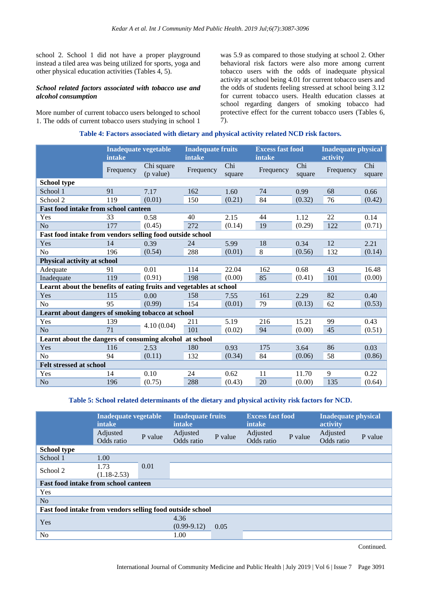school 2. School 1 did not have a proper playground instead a tiled area was being utilized for sports, yoga and other physical education activities (Tables 4, 5).

#### *School related factors associated with tobacco use and alcohol consumption*

More number of current tobacco users belonged to school 1. The odds of current tobacco users studying in school 1

was 5.9 as compared to those studying at school 2. Other behavioral risk factors were also more among current tobacco users with the odds of inadequate physical activity at school being 4.01 for current tobacco users and the odds of students feeling stressed at school being 3.12 for current tobacco users. Health education classes at school regarding dangers of smoking tobacco had protective effect for the current tobacco users (Tables 6, 7).

# **Table 4: Factors associated with dietary and physical activity related NCD risk factors.**

|                                                                     | <b>Inadequate vegetable</b><br>intake |                         | intake    | <b>Inadequate fruits</b> |           | <b>Excess fast food</b><br>intake |           | <b>Inadequate physical</b> |
|---------------------------------------------------------------------|---------------------------------------|-------------------------|-----------|--------------------------|-----------|-----------------------------------|-----------|----------------------------|
|                                                                     | Frequency                             | Chi square<br>(p value) | Frequency | Chi<br>square            | Frequency | Chi<br>square                     | Frequency | Chi<br>square              |
| <b>School type</b>                                                  |                                       |                         |           |                          |           |                                   |           |                            |
| School 1                                                            | 91                                    | 7.17                    | 162       | 1.60                     | 74        | 0.99                              | 68        | 0.66                       |
| School 2                                                            | 119                                   | (0.01)                  | 150       | (0.21)                   | 84        | (0.32)                            | 76        | (0.42)                     |
| Fast food intake from school canteen                                |                                       |                         |           |                          |           |                                   |           |                            |
| Yes                                                                 | 33                                    | 0.58                    | 40        | 2.15                     | 44        | 1.12                              | 22        | 0.14                       |
| N <sub>o</sub>                                                      | 177                                   | (0.45)                  | 272       | (0.14)                   | 19        | (0.29)                            | 122       | (0.71)                     |
| Fast food intake from vendors selling food outside school           |                                       |                         |           |                          |           |                                   |           |                            |
| Yes                                                                 | 14                                    | 0.39                    | 24        | 5.99                     | 18        | 0.34                              | 12        | 2.21                       |
| No                                                                  | 196                                   | (0.54)                  | 288       | (0.01)                   | 8         | (0.56)                            | 132       | (0.14)                     |
| Physical activity at school                                         |                                       |                         |           |                          |           |                                   |           |                            |
| Adequate                                                            | 91                                    | 0.01                    | 114       | 22.04                    | 162       | 0.68                              | 43        | 16.48                      |
| Inadequate                                                          | 119                                   | (0.91)                  | 198       | (0.00)                   | 85        | (0.41)                            | 101       | (0.00)                     |
| Learnt about the benefits of eating fruits and vegetables at school |                                       |                         |           |                          |           |                                   |           |                            |
| Yes                                                                 | 115                                   | 0.00                    | 158       | 7.55                     | 161       | 2.29                              | 82        | 0.40                       |
| N <sub>o</sub>                                                      | 95                                    | (0.99)                  | 154       | (0.01)                   | 79        | (0.13)                            | 62        | (0.53)                     |
| Learnt about dangers of smoking tobacco at school                   |                                       |                         |           |                          |           |                                   |           |                            |
| Yes                                                                 | 139                                   |                         | 211       | 5.19                     | 216       | 15.21                             | 99        | 0.43                       |
| N <sub>o</sub>                                                      | 71                                    | 4.10(0.04)              | 101       | (0.02)                   | 94        | (0.00)                            | 45        | (0.51)                     |
| Learnt about the dangers of consuming alcohol<br>at school          |                                       |                         |           |                          |           |                                   |           |                            |
| Yes                                                                 | 116                                   | 2.53                    | 180       | 0.93                     | 175       | 3.64                              | 86        | 0.03                       |
| No                                                                  | 94                                    | (0.11)                  | 132       | (0.34)                   | 84        | (0.06)                            | 58        | (0.86)                     |
| <b>Felt stressed at school</b>                                      |                                       |                         |           |                          |           |                                   |           |                            |
| Yes                                                                 | 14                                    | 0.10                    | 24        | 0.62                     | 11        | 11.70                             | 9         | 0.22                       |
| N <sub>o</sub>                                                      | 196                                   | (0.75)                  | 288       | (0.43)                   | $20\,$    | (0.00)                            | 135       | (0.64)                     |

# **Table 5: School related determinants of the dietary and physical activity risk factors for NCD.**

|                                                           | Inadequate vegetable<br><b>intake</b> |         | <b>Inadequate fruits</b><br><b>intake</b> |         | <b>Excess fast food</b><br>intake |         | <b>Inadequate physical</b><br>activity |         |
|-----------------------------------------------------------|---------------------------------------|---------|-------------------------------------------|---------|-----------------------------------|---------|----------------------------------------|---------|
|                                                           | Adjusted<br>Odds ratio                | P value | Adjusted<br>Odds ratio                    | P value | Adjusted<br>Odds ratio            | P value | Adjusted<br>Odds ratio                 | P value |
| <b>School type</b>                                        |                                       |         |                                           |         |                                   |         |                                        |         |
| School 1                                                  | 1.00                                  |         |                                           |         |                                   |         |                                        |         |
| School 2                                                  | 1.73<br>$(1.18 - 2.53)$               | 0.01    |                                           |         |                                   |         |                                        |         |
| <b>Fast food intake from school canteen</b>               |                                       |         |                                           |         |                                   |         |                                        |         |
| Yes                                                       |                                       |         |                                           |         |                                   |         |                                        |         |
| No                                                        |                                       |         |                                           |         |                                   |         |                                        |         |
| Fast food intake from vendors selling food outside school |                                       |         |                                           |         |                                   |         |                                        |         |
| Yes                                                       |                                       |         | 4.36<br>$(0.99-9.12)$                     | 0.05    |                                   |         |                                        |         |
| N <sub>o</sub>                                            |                                       |         | 1.00                                      |         |                                   |         |                                        |         |

Continued.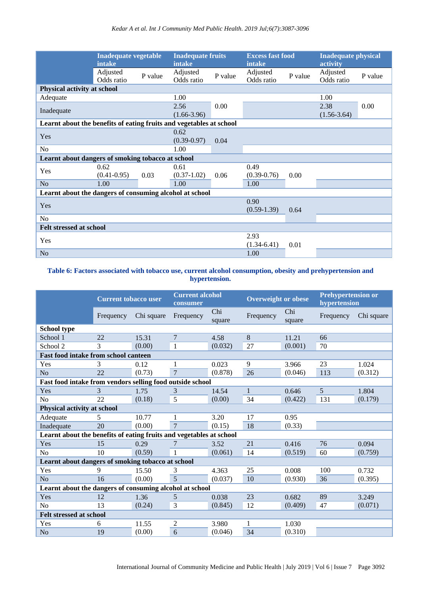|                                                                     | <b>Inadequate vegetable</b><br>intake |         | <b>Inadequate fruits</b><br>intake |         | <b>Excess fast food</b><br>intake |         | <b>Inadequate physical</b><br>activity |         |
|---------------------------------------------------------------------|---------------------------------------|---------|------------------------------------|---------|-----------------------------------|---------|----------------------------------------|---------|
|                                                                     | Adjusted<br>Odds ratio                | P value | Adjusted<br>Odds ratio             | P value | Adjusted<br>Odds ratio            | P value | Adjusted<br>Odds ratio                 | P value |
| Physical activity at school                                         |                                       |         |                                    |         |                                   |         |                                        |         |
| Adequate                                                            |                                       |         | 1.00                               |         |                                   |         | 1.00                                   |         |
| Inadequate                                                          |                                       |         | 2.56<br>$(1.66 - 3.96)$            | 0.00    |                                   |         | 2.38<br>$(1.56-3.64)$                  | 0.00    |
| Learnt about the benefits of eating fruits and vegetables at school |                                       |         |                                    |         |                                   |         |                                        |         |
| Yes                                                                 |                                       |         | 0.62<br>$(0.39 - 0.97)$            | 0.04    |                                   |         |                                        |         |
| No                                                                  |                                       |         | 1.00                               |         |                                   |         |                                        |         |
| Learnt about dangers of smoking tobacco at school                   |                                       |         |                                    |         |                                   |         |                                        |         |
| Yes                                                                 | 0.62<br>$(0.41 - 0.95)$               | 0.03    | 0.61<br>$(0.37-1.02)$              | 0.06    | 0.49<br>$(0.39 - 0.76)$           | 0.00    |                                        |         |
| N <sub>o</sub>                                                      | 1.00                                  |         | 1.00                               |         | 1.00                              |         |                                        |         |
| Learnt about the dangers of consuming alcohol at school             |                                       |         |                                    |         |                                   |         |                                        |         |
| Yes                                                                 |                                       |         |                                    |         | 0.90<br>$(0.59-1.39)$             | 0.64    |                                        |         |
| N <sub>o</sub>                                                      |                                       |         |                                    |         |                                   |         |                                        |         |
| <b>Felt stressed at school</b>                                      |                                       |         |                                    |         |                                   |         |                                        |         |
| Yes                                                                 |                                       |         |                                    |         | 2.93<br>$(1.34-6.41)$             | 0.01    |                                        |         |
| N <sub>o</sub>                                                      |                                       |         |                                    |         | 1.00                              |         |                                        |         |

# **Table 6: Factors associated with tobacco use, current alcohol consumption, obesity and prehypertension and hypertension.**

|                                                                     | <b>Current tobacco user</b> |            | consumer       | <b>Current alcohol</b> |              | <b>Overweight or obese</b> |                 | <b>Prehypertension or</b><br>hypertension |  |
|---------------------------------------------------------------------|-----------------------------|------------|----------------|------------------------|--------------|----------------------------|-----------------|-------------------------------------------|--|
|                                                                     | Frequency                   | Chi square | Frequency      | Chi<br>square          | Frequency    | Chi<br>square              | Frequency       | Chi square                                |  |
| <b>School type</b>                                                  |                             |            |                |                        |              |                            |                 |                                           |  |
| School 1                                                            | 22                          | 15.31      | 7              | 4.58                   | 8            | 11.21                      | 66              |                                           |  |
| School 2                                                            | 3                           | (0.00)     | $\mathbf{1}$   | (0.032)                | 27           | (0.001)                    | 70              |                                           |  |
| <b>Fast food intake from school canteen</b>                         |                             |            |                |                        |              |                            |                 |                                           |  |
| Yes                                                                 | 3                           | 0.12       | 1              | 0.023                  | 9            | 3.966                      | 23              | 1.024                                     |  |
| N <sub>o</sub>                                                      | 22                          | (0.73)     | $\overline{7}$ | (0.878)                | 26           | (0.046)                    | 113             | (0.312)                                   |  |
| Fast food intake from vendors selling food outside school           |                             |            |                |                        |              |                            |                 |                                           |  |
| Yes                                                                 | 3                           | 1.75       | 3              | 14.54                  | $\mathbf{1}$ | 0.646                      | $5\overline{)}$ | 1.804                                     |  |
| N <sub>o</sub>                                                      | 22                          | (0.18)     | 5              | (0.00)                 | 34           | (0.422)                    | 131             | (0.179)                                   |  |
| Physical activity at school                                         |                             |            |                |                        |              |                            |                 |                                           |  |
| Adequate                                                            | 5                           | 10.77      | 1              | 3.20                   | 17           | 0.95                       |                 |                                           |  |
| Inadequate                                                          | 20                          | (0.00)     | $\overline{7}$ | (0.15)                 | 18           | (0.33)                     |                 |                                           |  |
| Learnt about the benefits of eating fruits and vegetables at school |                             |            |                |                        |              |                            |                 |                                           |  |
| Yes                                                                 | 15                          | 0.29       | 7              | 3.52                   | 21           | 0.416                      | 76              | 0.094                                     |  |
| N <sub>o</sub>                                                      | 10                          | (0.59)     | $\mathbf{1}$   | (0.061)                | 14           | (0.519)                    | 60              | (0.759)                                   |  |
| Learnt about dangers of smoking tobacco at school                   |                             |            |                |                        |              |                            |                 |                                           |  |
| Yes                                                                 | 9                           | 15.50      | 3              | 4.363                  | 25           | 0.008                      | 100             | 0.732                                     |  |
| N <sub>o</sub>                                                      | 16                          | (0.00)     | 5              | (0.037)                | 10           | (0.930)                    | 36              | (0.395)                                   |  |
| Learnt about the dangers of consuming alcohol at school             |                             |            |                |                        |              |                            |                 |                                           |  |
| Yes                                                                 | 12                          | 1.36       | 5              | 0.038                  | 23           | 0.682                      | 89              | 3.249                                     |  |
| N <sub>0</sub>                                                      | 13                          | (0.24)     | 3              | (0.845)                | 12           | (0.409)                    | 47              | (0.071)                                   |  |
| <b>Felt stressed at school</b>                                      |                             |            |                |                        |              |                            |                 |                                           |  |
| Yes                                                                 | 6                           | 11.55      | 2              | 3.980                  | 1            | 1.030                      |                 |                                           |  |
| N <sub>o</sub>                                                      | 19                          | (0.00)     | 6              | (0.046)                | 34           | (0.310)                    |                 |                                           |  |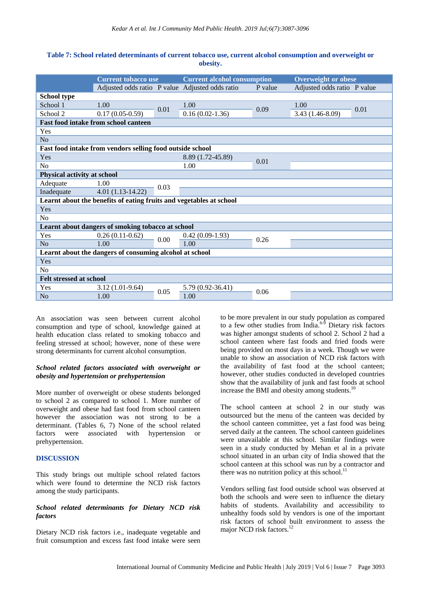# **Table 7: School related determinants of current tobacco use, current alcohol consumption and overweight or obesity.**

|                                | <b>Current tobacco use</b>                                          |      | <b>Current alcohol consumption</b>              |         | <b>Overweight or obese</b>  |      |
|--------------------------------|---------------------------------------------------------------------|------|-------------------------------------------------|---------|-----------------------------|------|
|                                |                                                                     |      | Adjusted odds ratio P value Adjusted odds ratio | P value | Adjusted odds ratio P value |      |
| <b>School type</b>             |                                                                     |      |                                                 |         |                             |      |
| School 1                       | 1.00                                                                | 0.01 | 1.00                                            | 0.09    | 1.00                        | 0.01 |
| School 2                       | $0.17(0.05-0.59)$                                                   |      | $0.16(0.02-1.36)$                               |         | 3.43 (1.46-8.09)            |      |
|                                | <b>Fast food intake from school canteen</b>                         |      |                                                 |         |                             |      |
| Yes                            |                                                                     |      |                                                 |         |                             |      |
| N <sub>o</sub>                 |                                                                     |      |                                                 |         |                             |      |
|                                | Fast food intake from vendors selling food outside school           |      |                                                 |         |                             |      |
| Yes                            |                                                                     |      | 8.89 (1.72-45.89)                               |         |                             |      |
| No                             |                                                                     |      | 1.00                                            | 0.01    |                             |      |
| Physical activity at school    |                                                                     |      |                                                 |         |                             |      |
| Adequate                       | 1.00                                                                | 0.03 |                                                 |         |                             |      |
| Inadequate                     | $4.01(1.13-14.22)$                                                  |      |                                                 |         |                             |      |
|                                | Learnt about the benefits of eating fruits and vegetables at school |      |                                                 |         |                             |      |
| Yes                            |                                                                     |      |                                                 |         |                             |      |
| N <sub>o</sub>                 |                                                                     |      |                                                 |         |                             |      |
|                                | Learnt about dangers of smoking tobacco at school                   |      |                                                 |         |                             |      |
| Yes                            | $0.26(0.11-0.62)$                                                   | 0.00 | $0.42(0.09-1.93)$                               | 0.26    |                             |      |
| N <sub>o</sub>                 | 1.00                                                                |      | 1.00                                            |         |                             |      |
|                                | Learnt about the dangers of consuming alcohol at school             |      |                                                 |         |                             |      |
| Yes                            |                                                                     |      |                                                 |         |                             |      |
| N <sub>o</sub>                 |                                                                     |      |                                                 |         |                             |      |
| <b>Felt stressed at school</b> |                                                                     |      |                                                 |         |                             |      |
| Yes                            | $3.12(1.01-9.64)$                                                   |      | 5.79 (0.92-36.41)                               | 0.06    |                             |      |
| N <sub>o</sub>                 | 1.00                                                                | 0.05 | 1.00                                            |         |                             |      |

An association was seen between current alcohol consumption and type of school, knowledge gained at health education class related to smoking tobacco and feeling stressed at school; however, none of these were strong determinants for current alcohol consumption.

# *School related factors associated with overweight or obesity and hypertension or prehypertension*

More number of overweight or obese students belonged to school 2 as compared to school 1. More number of overweight and obese had fast food from school canteen however the association was not strong to be a determinant. (Tables 6, 7) None of the school related factors were associated with hypertension or prehypertension.

# **DISCUSSION**

This study brings out multiple school related factors which were found to determine the NCD risk factors among the study participants.

# *School related determinants for Dietary NCD risk factors*

Dietary NCD risk factors i.e., inadequate vegetable and fruit consumption and excess fast food intake were seen to be more prevalent in our study population as compared to a few other studies from  $\text{India.}^{6-5}$  Dietary risk factors was higher amongst students of school 2. School 2 had a school canteen where fast foods and fried foods were being provided on most days in a week. Though we were unable to show an association of NCD risk factors with the availability of fast food at the school canteen; however, other studies conducted in developed countries show that the availability of junk and fast foods at school increase the BMI and obesity among students.<sup>10</sup>

The school canteen at school 2 in our study was outsourced but the menu of the canteen was decided by the school canteen committee, yet a fast food was being served daily at the canteen. The school canteen guidelines were unavailable at this school. Similar findings were seen in a study conducted by Mehan et al in a private school situated in an urban city of India showed that the school canteen at this school was run by a contractor and there was no nutrition policy at this school. $^{11}$ 

Vendors selling fast food outside school was observed at both the schools and were seen to influence the dietary habits of students. Availability and accessibility to unhealthy foods sold by vendors is one of the important risk factors of school built environment to assess the major NCD risk factors.<sup>12</sup>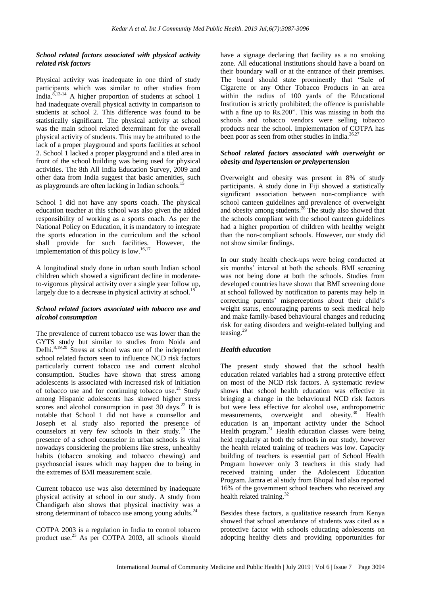# *School related factors associated with physical activity related risk factors*

Physical activity was inadequate in one third of study participants which was similar to other studies from India. $8,13-14$  A higher proportion of students at school 1 had inadequate overall physical activity in comparison to students at school 2. This difference was found to be statistically significant. The physical activity at school was the main school related determinant for the overall physical activity of students. This may be attributed to the lack of a proper playground and sports facilities at school 2. School 1 lacked a proper playground and a tiled area in front of the school building was being used for physical activities. The 8th All India Education Survey, 2009 and other data from India suggest that basic amenities, such as playgrounds are often lacking in Indian schools.<sup>15</sup>

School 1 did not have any sports coach. The physical education teacher at this school was also given the added responsibility of working as a sports coach. As per the National Policy on Education, it is mandatory to integrate the sports education in the curriculum and the school shall provide for such facilities. However, the implementation of this policy is low.<sup>16,17</sup>

A longitudinal study done in urban south Indian school children which showed a significant decline in moderateto-vigorous physical activity over a single year follow up, largely due to a decrease in physical activity at school.<sup>18</sup>

# *School related factors associated with tobacco use and alcohol consumption*

The prevalence of current tobacco use was lower than the GYTS study but similar to studies from Noida and Delhi. $8,19,20$  Stress at school was one of the independent school related factors seen to influence NCD risk factors particularly current tobacco use and current alcohol consumption. Studies have shown that stress among adolescents is associated with increased risk of initiation of tobacco use and for continuing tobacco use. $21$  Study among Hispanic adolescents has showed higher stress scores and alcohol consumption in past  $30 \text{ days}$ .<sup>22</sup> It is notable that School 1 did not have a counsellor and Joseph et al study also reported the presence of counselors at very few schools in their study.<sup>23</sup> The presence of a school counselor in urban schools is vital nowadays considering the problems like stress, unhealthy habits (tobacco smoking and tobacco chewing) and psychosocial issues which may happen due to being in the extremes of BMI measurement scale.

Current tobacco use was also determined by inadequate physical activity at school in our study. A study from Chandigarh also shows that physical inactivity was a strong determinant of tobacco use among young adults.<sup>2</sup>

COTPA 2003 is a regulation in India to control tobacco product use.<sup>25</sup> As per COTPA 2003, all schools should have a signage declaring that facility as a no smoking zone. All educational institutions should have a board on their boundary wall or at the entrance of their premises. The board should state prominently that "Sale of Cigarette or any Other Tobacco Products in an area within the radius of 100 yards of the Educational Institution is strictly prohibited; the offence is punishable with a fine up to Rs.200". This was missing in both the schools and tobacco vendors were selling tobacco products near the school. Implementation of COTPA has been poor as seen from other studies in India.<sup>26,27</sup>

# *School related factors associated with overweight or obesity and hypertension or prehypertension*

Overweight and obesity was present in 8% of study participants. A study done in Fiji showed a statistically significant association between non-compliance with school canteen guidelines and prevalence of overweight and obesity among students.<sup>28</sup> The study also showed that the schools compliant with the school canteen guidelines had a higher proportion of children with healthy weight than the non-compliant schools. However, our study did not show similar findings.

In our study health check-ups were being conducted at six months' interval at both the schools. BMI screening was not being done at both the schools. Studies from developed countries have shown that BMI screening done at school followed by notification to parents may help in correcting parents' misperceptions about their child's weight status, encouraging parents to seek medical help and make family-based behavioural changes and reducing risk for eating disorders and weight-related bullying and teasing.<sup>29</sup>

# *Health education*

The present study showed that the school health education related variables had a strong protective effect on most of the NCD risk factors. A systematic review shows that school health education was effective in bringing a change in the behavioural NCD risk factors but were less effective for alcohol use, anthropometric measurements, overweight and obesity.<sup>30</sup> Health education is an important activity under the School Health program.<sup>31</sup> Health education classes were being held regularly at both the schools in our study, however the health related training of teachers was low. Capacity building of teachers is essential part of School Health Program however only 3 teachers in this study had received training under the Adolescent Education Program. Jamra et al study from Bhopal had also reported 16% of the government school teachers who received any health related training.<sup>32</sup>

Besides these factors, a qualitative research from Kenya showed that school attendance of students was cited as a protective factor with schools educating adolescents on adopting healthy diets and providing opportunities for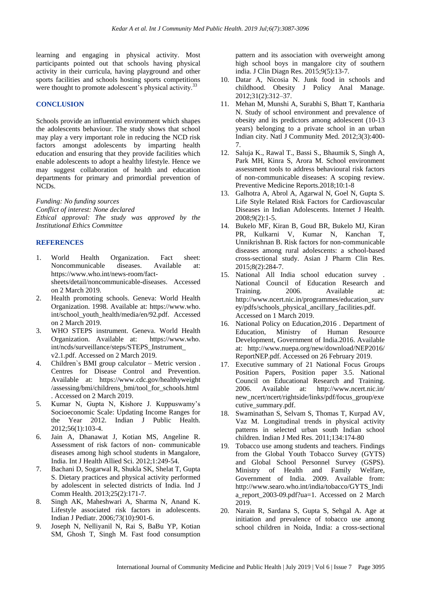learning and engaging in physical activity. Most participants pointed out that schools having physical activity in their curricula, having playground and other sports facilities and schools hosting sports competitions were thought to promote adolescent's physical activity.<sup>33</sup>

#### **CONCLUSION**

Schools provide an influential environment which shapes the adolescents behaviour. The study shows that school may play a very important role in reducing the NCD risk factors amongst adolescents by imparting health education and ensuring that they provide facilities which enable adolescents to adopt a healthy lifestyle. Hence we may suggest collaboration of health and education departments for primary and primordial prevention of NCDs.

*Funding: No funding sources Conflict of interest: None declared Ethical approval: The study was approved by the Institutional Ethics Committee*

# **REFERENCES**

- 1. World Health Organization. Fact sheet: Noncommunicable diseases. Available at: https://www.who.int/news-room/factsheets/detail/noncommunicable-diseases. Accessed on 2 March 2019.
- 2. Health promoting schools. Geneva: World Health Organization. 1998. Available at: https://www.who. int/school\_youth\_health/media/en/92.pdf. Accessed on 2 March 2019.
- 3. WHO STEPS instrument. Geneva. World Health Organization. Available at: https://www.who. int/ncds/surveillance/steps/STEPS\_Instrument\_ v2.1.pdf. Accessed on 2 March 2019.
- 4. Children`s BMI group calculator Metric version . Centres for Disease Control and Prevention. Available at: https://www.cdc.gov/healthyweight /assessing/bmi/childrens\_bmi/tool\_for\_schools.html . Accessed on 2 March 2019.
- 5. Kumar N, Gupta N, Kishore J. Kuppuswamy's Socioeconomic Scale: Updating Income Ranges for the Year 2012. Indian J Public Health. 2012;56(1):103-4.
- 6. Jain A, Dhanawat J, Kotian MS, Angeline R. Assessment of risk factors of non- communicable diseases among high school students in Mangalore, India. Int J Health Allied Sci. 2012;1:249-54.
- 7. Bachani D, Sogarwal R, Shukla SK, Shelat T, Gupta S. Dietary practices and physical activity performed by adolescent in selected districts of India. Ind J Comm Health. 2013;25(2):171-7.
- 8. Singh AK, Maheshwari A, Sharma N, Anand K. Lifestyle associated risk factors in adolescents. Indian J Pediatr. 2006;73(10):901-6.
- 9. Joseph N, Nelliyanil N, Rai S, BaBu YP, Kotian SM, Ghosh T, Singh M. Fast food consumption

pattern and its association with overweight among high school boys in mangalore city of southern india. J Clin Diagn Res. 2015;9(5):13-7.

- 10. Datar A, Nicosia N. Junk food in schools and childhood. Obesity J Policy Anal Manage. 2012;31(2):312–37.
- 11. Mehan M, Munshi A, Surabhi S, Bhatt T, Kantharia N. Study of school environment and prevalence of obesity and its predictors among adolescent (10-13 years) belonging to a private school in an urban Indian city. Natl J Community Med. 2012;3(3):400- 7.
- 12. Saluja K., Rawal T., Bassi S., Bhaumik S, Singh A, Park MH, Kinra S, Arora M. School environment assessment tools to address behavioural risk factors of non-communicable diseases: A scoping review. Preventive Medicine Reports.2018;10:1-8
- 13. Galhotra A, Abrol A, Agarwal N, Goel N, Gupta S. Life Style Related Risk Factors for Cardiovascular Diseases in Indian Adolescents. Internet J Health. 2008;9(2):1-5.
- 14. Bukelo MF, Kiran B, Goud BR, Bukelo MJ, Kiran PR, Kulkarni V, Kumar N, Kanchan T, Unnikrishnan B. Risk factors for non-communicable diseases among rural adolescents: a school-based cross-sectional study. Asian J Pharm Clin Res. 2015;8(2):284-7.
- 15. National All India school education survey . National Council of Education Research and Training. 2006. Available at: http://www.ncert.nic.in/programmes/education\_surv ey/pdfs/schools\_physical\_ancillary\_facilities.pdf. Accessed on 1 March 2019.
- 16. National Policy on Education,2016 . Department of Education, Ministry of Human Resource Development, Government of India.2016. Available at: http://www.nuepa.org/new/download/NEP2016/ ReportNEP.pdf. Accessed on 26 February 2019.
- 17. Executive summary of 21 National Focus Groups Position Papers, Position paper 3.5. National Council on Educational Research and Training. 2006. Available at: http://www.ncert.nic.in/ new ncert/ncert/rightside/links/pdf/focus group/exe cutive\_summary.pdf.
- 18. Swaminathan S, Selvam S, Thomas T, Kurpad AV, Vaz M. Longitudinal trends in physical activity patterns in selected urban south Indian school children. Indian J Med Res. 2011;134:174-80
- 19. Tobacco use among students and teachers. Findings from the Global Youth Tobacco Survey (GYTS) and Global School Personnel Survey (GSPS). Ministry of Health and Family Welfare, Government of India. 2009. Available from: http://www.searo.who.int/india/tobacco/GYTS\_Indi a\_report\_2003-09.pdf?ua=1. Accessed on 2 March 2019.
- 20. Narain R, Sardana S, Gupta S, Sehgal A. Age at initiation and prevalence of tobacco use among school children in Noida, India: a cross-sectional